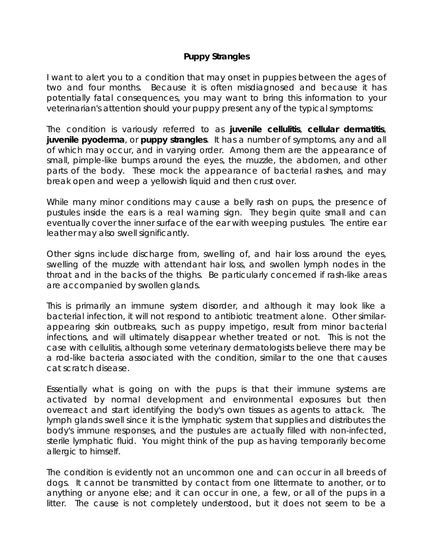## **Puppy Strangles**

I want to alert you to a condition that may onset in puppies between the ages of two and four months. Because it is often misdiagnosed and because it has potentially fatal consequences, you may want to bring this information to your veterinarian's attention should your puppy present any of the typical symptoms:

The condition is variously referred to as **juvenile cellulitis**, **cellular dermatitis**, **juvenile pyoderma**, or **puppy strangles**. It has a number of symptoms, any and all of which may occur, and in varying order. Among them are the appearance of small, pimple-like bumps around the eyes, the muzzle, the abdomen, and other parts of the body. These mock the appearance of bacterial rashes, and may break open and weep a yellowish liquid and then crust over.

While many minor conditions may cause a belly rash on pups, the presence of pustules inside the ears is a real warning sign. They begin quite small and can eventually cover the inner surface of the ear with weeping pustules. The entire ear leather may also swell significantly.

Other signs include discharge from, swelling of, and hair loss around the eyes, swelling of the muzzle with attendant hair loss, and swollen lymph nodes in the throat and in the backs of the thighs. Be particularly concerned if rash-like areas are accompanied by swollen glands.

This is primarily an immune system disorder, and although it may look like a bacterial infection, it will not respond to antibiotic treatment alone. Other similarappearing skin outbreaks, such as puppy impetigo, result from minor bacterial infections, and will ultimately disappear whether treated or not. This is not the case with cellulitis, although some veterinary dermatologists believe there may be a rod-like bacteria associated with the condition, similar to the one that causes cat scratch disease.

Essentially what is going on with the pups is that their immune systems are activated by normal development and environmental exposures but then overreact and start identifying the body's own tissues as agents to attack. The lymph glands swell since it is the lymphatic system that supplies and distributes the body's immune responses, and the pustules are actually filled with non-infected, sterile lymphatic fluid. You might think of the pup as having temporarily become allergic to himself.

The condition is evidently not an uncommon one and can occur in all breeds of dogs. It cannot be transmitted by contact from one littermate to another, or to anything or anyone else; and it can occur in one, a few, or all of the pups in a litter. The cause is not completely understood, but it does not seem to be a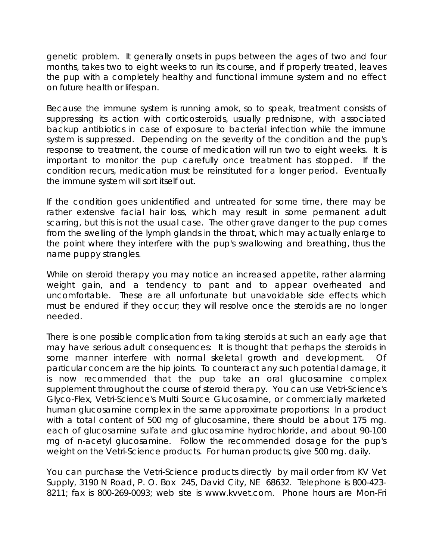genetic problem. It generally onsets in pups between the ages of two and four months, takes two to eight weeks to run its course, and if properly treated, leaves the pup with a completely healthy and functional immune system and no effect on future health or lifespan.

Because the immune system is running amok, so to speak, treatment consists of suppressing its action with corticosteroids, usually prednisone, with associated backup antibiotics in case of exposure to bacterial infection while the immune system is suppressed. Depending on the severity of the condition and the pup's response to treatment, the course of medication will run two to eight weeks. It is important to monitor the pup carefully once treatment has stopped. If the condition recurs, medication must be reinstituted for a longer period. Eventually the immune system will sort itself out.

If the condition goes unidentified and untreated for some time, there may be rather extensive facial hair loss, which may result in some permanent adult scarring, but this is not the usual case. The other grave danger to the pup comes from the swelling of the lymph glands in the throat, which may actually enlarge to the point where they interfere with the pup's swallowing and breathing, thus the name puppy strangles.

While on steroid therapy you may notice an increased appetite, rather alarming weight gain, and a tendency to pant and to appear overheated and uncomfortable. These are all unfortunate but unavoidable side effects which must be endured if they occur; they will resolve once the steroids are no longer needed.

There is one possible complication from taking steroids at such an early age that may have serious adult consequences: It is thought that perhaps the steroids in some manner interfere with normal skeletal growth and development. Of particular concern are the hip joints. To counteract any such potential damage, it is now recommended that the pup take an oral glucosamine complex supplement throughout the course of steroid therapy. You can use Vetri-Science's Glyco-Flex, Vetri-Science's Multi Source Glucosamine, or commercially marketed human glucosamine complex in the same approximate proportions: In a product with a total content of 500 mg of glucosamine, there should be about 175 mg. each of glucosamine sulfate and glucosamine hydrochloride, and about 90-100 mg of n-acetyl glucosamine. Follow the recommended dosage for the pup's weight on the Vetri-Science products. For human products, give 500 mg. daily.

You can purchase the Vetri-Science products directly by mail order from KV Vet Supply, 3190 N Road, P. O. Box 245, David City, NE 68632. Telephone is 800-423- 8211; fax is 800-269-0093; web site is www.kvvet.com. Phone hours are Mon-Fri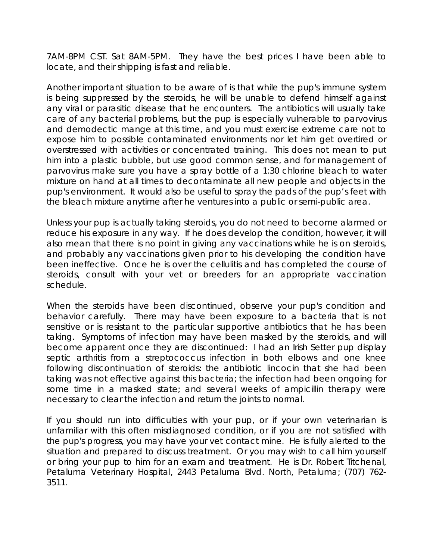7AM-8PM CST. Sat 8AM-5PM. They have the best prices I have been able to locate, and their shipping is fast and reliable.

Another important situation to be aware of is that while the pup's immune system is being suppressed by the steroids, he will be unable to defend himself against any viral or parasitic disease that he encounters. The antibiotics will usually take care of any bacterial problems, but the pup is especially vulnerable to parvovirus and demodectic mange at this time, and you must exercise extreme care not to expose him to possible contaminated environments nor let him get overtired or overstressed with activities or concentrated training. This does not mean to put him into a plastic bubble, but use good common sense, and for management of parvovirus make sure you have a spray bottle of a 1:30 chlorine bleach to water mixture on hand at all times to decontaminate all new people and objects in the pup's environment. It would also be useful to spray the pads of the pup's feet with the bleach mixture anytime after he ventures into a public or semi-public area.

Unless your pup is actually taking steroids, you do not need to become alarmed or reduce his exposure in any way. If he does develop the condition, however, it will also mean that there is no point in giving any vaccinations while he is on steroids, and probably any vaccinations given prior to his developing the condition have been ineffective. Once he is over the cellulitis and has completed the course of steroids, consult with your vet or breeders for an appropriate vaccination schedule.

When the steroids have been discontinued, observe your pup's condition and behavior carefully. There may have been exposure to a bacteria that is not sensitive or is resistant to the particular supportive antibiotics that he has been taking. Symptoms of infection may have been masked by the steroids, and will become apparent once they are discontinued: I had an Irish Setter pup display septic arthritis from a streptococcus infection in both elbows and one knee following discontinuation of steroids: the antibiotic lincocin that she had been taking was not effective against this bacteria; the infection had been ongoing for some time in a masked state; and several weeks of ampicillin therapy were necessary to clear the infection and return the joints to normal.

If you should run into difficulties with your pup, or if your own veterinarian is unfamiliar with this often misdiagnosed condition, or if you are not satisfied with the pup's progress, you may have your vet contact mine. He is fully alerted to the situation and prepared to discuss treatment. Or you may wish to call him yourself or bring your pup to him for an exam and treatment. He is Dr. Robert Titchenal, Petaluma Veterinary Hospital, 2443 Petaluma Blvd. North, Petaluma; (707) 762- 3511.